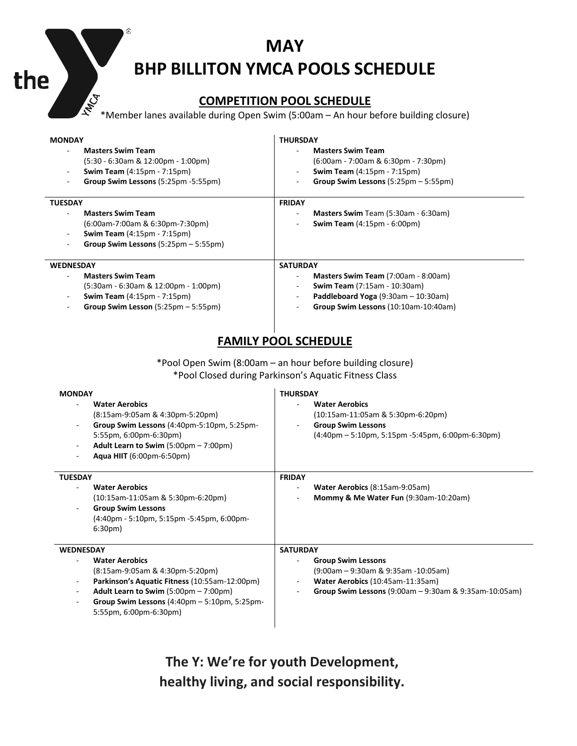## **MAY BHP BILLITON YMCA POOLS SCHEDULE**

 $^\circledR$ 

the

## **COMPETITION POOL SCHEDULE**

\*Member lanes available during Open Swim (5:00am – An hour before building closure)

| <b>MONDAY</b><br><b>Masters Swim Team</b><br>$(5:30 - 6:30)$ am & 12:00pm - 1:00pm<br><b>Swim Team</b> (4:15pm - 7:15pm)<br>Group Swim Lessons (5:25pm -5:55pm)                                                                                                                                         | <b>THURSDAY</b><br><b>Masters Swim Team</b><br>$(6:00am - 7:00am \& 6:30pm - 7:30pm)$<br><b>Swim Team</b> (4:15pm - 7:15pm)<br>Group Swim Lessons (5:25pm - 5:55pm)                                                 |  |  |  |  |  |
|---------------------------------------------------------------------------------------------------------------------------------------------------------------------------------------------------------------------------------------------------------------------------------------------------------|---------------------------------------------------------------------------------------------------------------------------------------------------------------------------------------------------------------------|--|--|--|--|--|
| <b>TUESDAY</b><br><b>Masters Swim Team</b><br>(6:00am-7:00am & 6:30pm-7:30pm)<br><b>Swim Team</b> (4:15pm - 7:15pm)<br>Group Swim Lessons (5:25pm - 5:55pm)                                                                                                                                             | <b>FRIDAY</b><br>Masters Swim Team (5:30am - 6:30am)<br>Swim Team (4:15pm - 6:00pm)                                                                                                                                 |  |  |  |  |  |
| <b>WEDNESDAY</b><br><b>Masters Swim Team</b><br>$(5:30am - 6:30am \& 12:00pm - 1:00pm)$<br><b>Swim Team</b> (4:15pm - 7:15pm)<br>Group Swim Lesson (5:25pm - 5:55pm)                                                                                                                                    | <b>SATURDAY</b><br>$\blacksquare$<br>Masters Swim Team (7:00am - 8:00am)<br><b>Swim Team</b> (7:15am - 10:30am)<br>Paddleboard Yoga (9:30am - 10:30am)<br>$\sim$<br>Group Swim Lessons (10:10am-10:40am)            |  |  |  |  |  |
| <b>FAMILY POOL SCHEDULE</b><br>*Pool Open Swim (8:00am - an hour before building closure)<br>*Pool Closed during Parkinson's Aquatic Fitness Class                                                                                                                                                      |                                                                                                                                                                                                                     |  |  |  |  |  |
| <b>MONDAY</b><br><b>Water Aerobics</b><br>(8:15am-9:05am & 4:30pm-5:20pm)<br>Group Swim Lessons (4:40pm-5:10pm, 5:25pm-<br>5:55pm, 6:00pm-6:30pm)<br>Adult Learn to Swim (5:00pm - 7:00pm)<br>÷,<br>Aqua HIIT (6:00pm-6:50pm)                                                                           | <b>THURSDAY</b><br><b>Water Aerobics</b><br>(10:15am-11:05am & 5:30pm-6:20pm)<br><b>Group Swim Lessons</b><br>$(4:40 \text{pm} - 5:10 \text{pm}, 5:15 \text{pm} - 5:45 \text{pm}, 6:00 \text{pm} - 6:30 \text{pm})$ |  |  |  |  |  |
| <b>TUESDAY</b><br><b>Water Aerobics</b><br>(10:15am-11:05am & 5:30pm-6:20pm)<br><b>Group Swim Lessons</b><br>(4:40pm - 5:10pm, 5:15pm -5:45pm, 6:00pm-<br>6:30 <sub>pm</sub>                                                                                                                            | <b>FRIDAY</b><br>Water Aerobics (8:15am-9:05am)<br>Mommy & Me Water Fun (9:30am-10:20am)                                                                                                                            |  |  |  |  |  |
| <b>WEDNESDAY</b><br><b>Water Aerobics</b><br>(8:15am-9:05am & 4:30pm-5:20pm)<br>Parkinson's Aquatic Fitness (10:55am-12:00pm)<br>$\overline{\phantom{a}}$<br>Adult Learn to Swim (5:00pm - 7:00pm)<br>Group Swim Lessons $(4:40 \text{pm} - 5:10 \text{pm}, 5:25 \text{pm} -$<br>5:55pm, 6:00pm-6:30pm) | <b>SATURDAY</b><br><b>Group Swim Lessons</b><br>$(9:00am - 9:30am \& 9:35am - 10:05am)$<br>Water Aerobics (10:45am-11:35am)<br>Group Swim Lessons (9:00am - 9:30am & 9:35am-10:05am)                                |  |  |  |  |  |

**The Y: We're for youth Development, healthy living, and social responsibility.**